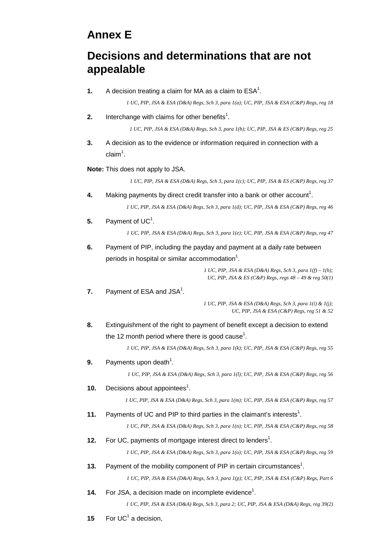## **Annex E**

## **Decisions and determinations that are not appealable**

**1.** A decision treating a claim for MA as a claim to  $\text{ESA}^1$ .

*1 UC, PIP, JSA & ESA (D&A) Regs, Sch 3, para 1(a); UC, PIP, JSA & ESA (C&P) Regs, reg 18* 

**2.** Interchange with claims for other benefits<sup>1</sup>.

*1 UC, PIP, JSA & ESA (D&A) Regs, Sch 3, para 1(b); UC, PIP, JSA & ES (C&P) Regs, reg 25* 

**3.** A decision as to the evidence or information required in connection with a claim $^1$ .

**Note:** This does not apply to JSA.

*1 UC, PIP, JSA & ESA (D&A) Regs, Sch 3, para 1(c); UC, PIP, JSA & ES (C&P) Regs, reg 37* 

- **4.** Making payments by direct credit transfer into a bank or other account<sup>1</sup>. *1 UC, PIP, JSA & ESA (D&A) Regs, Sch 3, para 1(d); UC, PIP, JSA & ESA (C&P) Regs, reg 46*
- **5.** Payment of  $UC<sup>1</sup>$ .

*1 UC, PIP, JSA & ESA (D&A) Regs, Sch 3, para 1(e); UC, PIP, JSA & ESA (C&P) Regs, reg 47* 

**6.** Payment of PIP, including the payday and payment at a daily rate between periods in hospital or similar accommodation $1$ .

> *1 UC, PIP, JSA & ESA (D&A) Regs, Sch 3, para 1(f) – 1(h); UC, PIP, JSA & ES (C&P) Regs, regs 48 – 49 & reg 50(1)*

**7.** Payment of ESA and JSA<sup>1</sup>.

*1 UC, PIP, JSA & ESA (D&A) Regs, Sch 3, para 1(i) & 1(j); UC, PIP, JSA & ESA (C&P) Regs, reg 51 & 52* 

**8.** Extinguishment of the right to payment of benefit except a decision to extend the 12 month period where there is good cause<sup>1</sup>.

*1 UC, PIP, JSA & ESA (D&A) Regs, Sch 3, para 1(k); UC, PIP, JSA & ESA (C&P) Regs, reg 55* 

**9.** Payments upon death<sup>1</sup>.

*1 UC, PIP, JSA & ESA (D&A) Regs, Sch 3, para 1(l); UC, PIP, JSA & ESA (C&P) Regs, reg 56* 

**10.** Decisions about appointees<sup>1</sup>.

*1 UC, PIP, JSA & ESA (D&A) Regs, Sch 3, para 1(m); UC, PIP, JSA & ESA (C&P) Regs, reg 57* 

**11.** Payments of UC and PIP to third parties in the claimant's interests<sup>1</sup>.

*1 UC, PIP, JSA & ESA (D&A) Regs, Sch 3, para 1(n); UC, PIP, JSA & ESA (C&P) Regs, reg 58* 

**12.** For UC, payments of mortgage interest direct to lenders<sup>1</sup>.

*1 UC, PIP, JSA & ESA (D&A) Regs, Sch 3, para 1(o); UC, PIP, JSA & ESA (C&P) Regs, reg 59* 

**13.** Payment of the mobility component of PIP in certain circumstances<sup>1</sup>.

*1 UC, PIP, JSA & ESA (D&A) Regs, Sch 3, para 1(p); UC, PIP, JSA & ESA (C&P) Regs, Part 6* 

**14.** For JSA, a decision made on incomplete evidence<sup>1</sup>.

*1 UC, PIP, JSA & ESA (D&A) Regs, Sch 3, para 2; UC, PIP, JSA & ESA (D&A) Regs, reg 39(2)* 

**15** For  $UC^1$  a decision,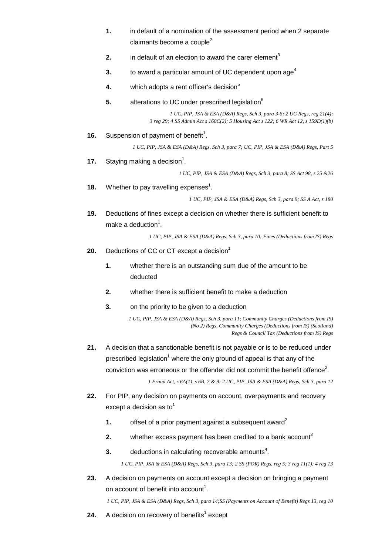- **1.** in default of a nomination of the assessment period when 2 separate claimants become a couple<sup>2</sup>
- **2.** in default of an election to award the carer element<sup>3</sup>
- **3.** to award a particular amount of UC dependent upon age<sup>4</sup>
- **4.** which adopts a rent officer's decision<sup>5</sup>
- **5.** alterations to UC under prescribed legislation<sup>6</sup>

*1 UC, PIP, JSA & ESA (D&A) Regs, Sch 3, para 3-6; 2 UC Regs, reg 21(4); 3 reg 29; 4 SS Admin Act s 160C(2); 5 Housing Act s 122; 6 WR Act 12, s 159D(1)(b)* 

**16.** Suspension of payment of benefit<sup>1</sup>.

*1 UC, PIP, JSA & ESA (D&A) Regs, Sch 3, para 7; UC, PIP, JSA & ESA (D&A) Regs, Part 5* 

**17.** Staying making a decision<sup>1</sup>.

*1 UC, PIP, JSA & ESA (D&A) Regs, Sch 3, para 8; SS Act 98, s 25 &26* 

**18.** Whether to pay travelling expenses<sup>1</sup>.

*1 UC, PIP, JSA & ESA (D&A) Regs, Sch 3, para 9; SS A Act, s 180* 

**19.** Deductions of fines except a decision on whether there is sufficient benefit to make a deduction $^1$ .

*1 UC, PIP, JSA & ESA (D&A) Regs, Sch 3, para 10; Fines (Deductions from IS) Regs* 

- **20.** Deductions of CC or CT except a decision<sup>1</sup>
	- **1.** whether there is an outstanding sum due of the amount to be deducted
	- **2.** whether there is sufficient benefit to make a deduction
	- **3.** on the priority to be given to a deduction

*1 UC, PIP, JSA & ESA (D&A) Regs, Sch 3, para 11; Community Charges (Deductions from IS) (No 2) Regs, Community Charges (Deductions from IS) (Scotland) Regs & Council Tax (Deductions from IS) Regs* 

**21.** A decision that a sanctionable benefit is not payable or is to be reduced under prescribed legislation<sup>1</sup> where the only ground of appeal is that any of the conviction was erroneous or the offender did not commit the benefit offence<sup>2</sup>.

*1 Fraud Act, s 6A(1), s 6B, 7 & 9; 2 UC, PIP, JSA & ESA (D&A) Regs, Sch 3, para 12* 

- **22.** For PIP, any decision on payments on account, overpayments and recovery except a decision as  $to^1$ 
	- **1. offset of a prior payment against a subsequent award<sup>2</sup>**
	- **2.** whether excess payment has been credited to a bank account<sup>3</sup>
	- $3.$  deductions in calculating recoverable amounts<sup>4</sup>.

*1 UC, PIP, JSA & ESA (D&A) Regs, Sch 3, para 13; 2 SS (POR) Regs, reg 5; 3 reg 11(1); 4 reg 13* 

**23.** A decision on payments on account except a decision on bringing a payment on account of benefit into account<sup>1</sup>.

*1 UC, PIP, JSA & ESA (D&A) Regs, Sch 3, para 14;SS (Payments on Account of Benefit) Regs 13, reg 10* 

**24.** A decision on recovery of benefits<sup>1</sup> except